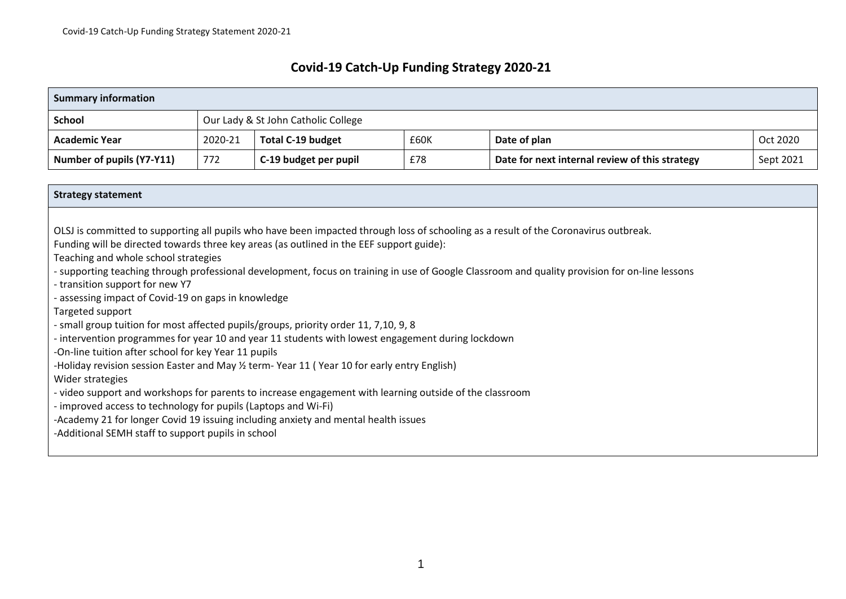## **Covid-19 Catch-Up Funding Strategy 2020-21**

| <b>Summary information</b>                                                                                                                                                                                                                                                                                                                                                                                                                                                                                                                                                                                                                                                                                                                                                                                                                                                                                                                                                                                                                                                                                                                                                                                                                |                                     |                          |      |                                                |           |  |  |  |
|-------------------------------------------------------------------------------------------------------------------------------------------------------------------------------------------------------------------------------------------------------------------------------------------------------------------------------------------------------------------------------------------------------------------------------------------------------------------------------------------------------------------------------------------------------------------------------------------------------------------------------------------------------------------------------------------------------------------------------------------------------------------------------------------------------------------------------------------------------------------------------------------------------------------------------------------------------------------------------------------------------------------------------------------------------------------------------------------------------------------------------------------------------------------------------------------------------------------------------------------|-------------------------------------|--------------------------|------|------------------------------------------------|-----------|--|--|--|
| <b>School</b>                                                                                                                                                                                                                                                                                                                                                                                                                                                                                                                                                                                                                                                                                                                                                                                                                                                                                                                                                                                                                                                                                                                                                                                                                             | Our Lady & St John Catholic College |                          |      |                                                |           |  |  |  |
| <b>Academic Year</b>                                                                                                                                                                                                                                                                                                                                                                                                                                                                                                                                                                                                                                                                                                                                                                                                                                                                                                                                                                                                                                                                                                                                                                                                                      | 2020-21                             | <b>Total C-19 budget</b> | £60K | Date of plan                                   | Oct 2020  |  |  |  |
| Number of pupils (Y7-Y11)                                                                                                                                                                                                                                                                                                                                                                                                                                                                                                                                                                                                                                                                                                                                                                                                                                                                                                                                                                                                                                                                                                                                                                                                                 | 772                                 | C-19 budget per pupil    | £78  | Date for next internal review of this strategy | Sept 2021 |  |  |  |
| <b>Strategy statement</b>                                                                                                                                                                                                                                                                                                                                                                                                                                                                                                                                                                                                                                                                                                                                                                                                                                                                                                                                                                                                                                                                                                                                                                                                                 |                                     |                          |      |                                                |           |  |  |  |
| OLSJ is committed to supporting all pupils who have been impacted through loss of schooling as a result of the Coronavirus outbreak.<br>Funding will be directed towards three key areas (as outlined in the EEF support guide):<br>Teaching and whole school strategies<br>- supporting teaching through professional development, focus on training in use of Google Classroom and quality provision for on-line lessons<br>- transition support for new Y7<br>- assessing impact of Covid-19 on gaps in knowledge<br>Targeted support<br>- small group tuition for most affected pupils/groups, priority order 11, 7,10, 9, 8<br>- intervention programmes for year 10 and year 11 students with lowest engagement during lockdown<br>-On-line tuition after school for key Year 11 pupils<br>-Holiday revision session Easter and May 1/2 term-Year 11 (Year 10 for early entry English)<br>Wider strategies<br>- video support and workshops for parents to increase engagement with learning outside of the classroom<br>- improved access to technology for pupils (Laptops and Wi-Fi)<br>-Academy 21 for longer Covid 19 issuing including anxiety and mental health issues<br>-Additional SEMH staff to support pupils in school |                                     |                          |      |                                                |           |  |  |  |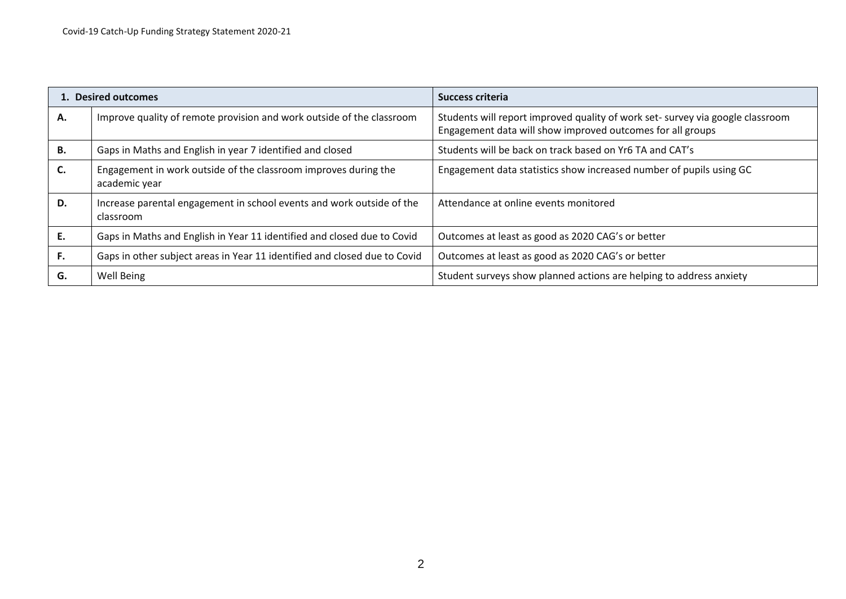| 1. Desired outcomes |                                                                                    | Success criteria                                                                                                                             |  |  |  |  |
|---------------------|------------------------------------------------------------------------------------|----------------------------------------------------------------------------------------------------------------------------------------------|--|--|--|--|
| А.                  | Improve quality of remote provision and work outside of the classroom              | Students will report improved quality of work set- survey via google classroom<br>Engagement data will show improved outcomes for all groups |  |  |  |  |
| В.                  | Gaps in Maths and English in year 7 identified and closed                          | Students will be back on track based on Yr6 TA and CAT's                                                                                     |  |  |  |  |
| C.                  | Engagement in work outside of the classroom improves during the<br>academic year   | Engagement data statistics show increased number of pupils using GC                                                                          |  |  |  |  |
| D.                  | Increase parental engagement in school events and work outside of the<br>classroom | Attendance at online events monitored                                                                                                        |  |  |  |  |
| Е.                  | Gaps in Maths and English in Year 11 identified and closed due to Covid            | Outcomes at least as good as 2020 CAG's or better                                                                                            |  |  |  |  |
| Æ.                  | Gaps in other subject areas in Year 11 identified and closed due to Covid          | Outcomes at least as good as 2020 CAG's or better                                                                                            |  |  |  |  |
| G.                  | Well Being                                                                         | Student surveys show planned actions are helping to address anxiety                                                                          |  |  |  |  |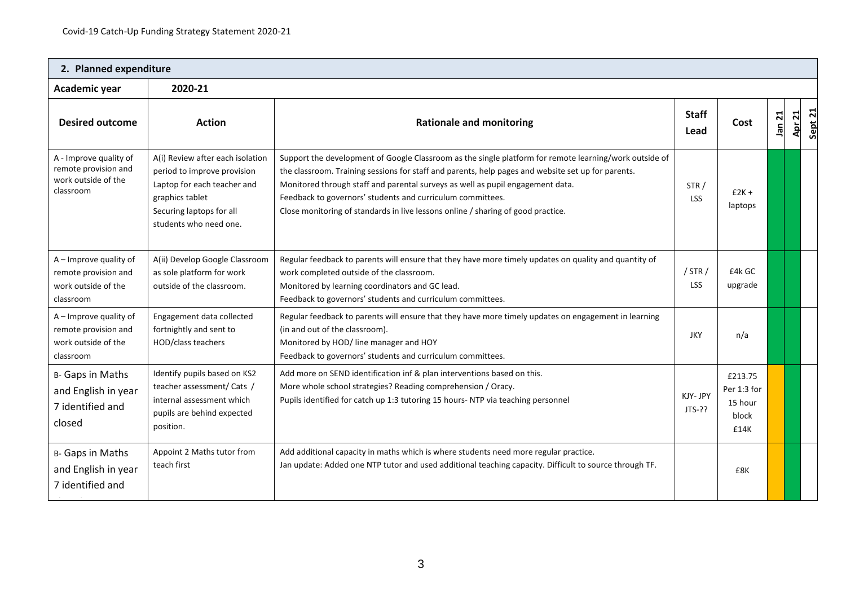| Academic year                                                                      | 2020-21                                                                                                                                                                 |                                                                                                                                                                                                                                                                                                                                                                                                                                                  |                           |                                                    |        |               |  |
|------------------------------------------------------------------------------------|-------------------------------------------------------------------------------------------------------------------------------------------------------------------------|--------------------------------------------------------------------------------------------------------------------------------------------------------------------------------------------------------------------------------------------------------------------------------------------------------------------------------------------------------------------------------------------------------------------------------------------------|---------------------------|----------------------------------------------------|--------|---------------|--|
| <b>Desired outcome</b>                                                             | <b>Action</b>                                                                                                                                                           | <b>Rationale and monitoring</b>                                                                                                                                                                                                                                                                                                                                                                                                                  | <b>Staff</b><br>Lead      | Cost                                               | Jan 21 | <b>Apr 21</b> |  |
| A - Improve quality of<br>remote provision and<br>work outside of the<br>classroom | A(i) Review after each isolation<br>period to improve provision<br>Laptop for each teacher and<br>graphics tablet<br>Securing laptops for all<br>students who need one. | Support the development of Google Classroom as the single platform for remote learning/work outside of<br>the classroom. Training sessions for staff and parents, help pages and website set up for parents.<br>Monitored through staff and parental surveys as well as pupil engagement data.<br>Feedback to governors' students and curriculum committees.<br>Close monitoring of standards in live lessons online / sharing of good practice. | STR/<br><b>LSS</b>        | $£2K +$<br>laptops                                 |        |               |  |
| A - Improve quality of<br>remote provision and<br>work outside of the<br>classroom | A(ii) Develop Google Classroom<br>as sole platform for work<br>outside of the classroom.                                                                                | Regular feedback to parents will ensure that they have more timely updates on quality and quantity of<br>work completed outside of the classroom.<br>Monitored by learning coordinators and GC lead.<br>Feedback to governors' students and curriculum committees.                                                                                                                                                                               | $/$ STR $/$<br><b>LSS</b> | £4k GC<br>upgrade                                  |        |               |  |
| A - Improve quality of<br>remote provision and<br>work outside of the<br>classroom | Engagement data collected<br>fortnightly and sent to<br>HOD/class teachers                                                                                              | Regular feedback to parents will ensure that they have more timely updates on engagement in learning<br>(in and out of the classroom).<br>Monitored by HOD/ line manager and HOY<br>Feedback to governors' students and curriculum committees.                                                                                                                                                                                                   | <b>JKY</b>                | n/a                                                |        |               |  |
| B- Gaps in Maths<br>and English in year<br>7 identified and<br>closed              | Identify pupils based on KS2<br>teacher assessment/ Cats /<br>internal assessment which<br>pupils are behind expected<br>position.                                      | Add more on SEND identification inf & plan interventions based on this.<br>More whole school strategies? Reading comprehension / Oracy.<br>Pupils identified for catch up 1:3 tutoring 15 hours- NTP via teaching personnel                                                                                                                                                                                                                      | KJY- JPY<br>$JTS-??$      | £213.75<br>Per 1:3 for<br>15 hour<br>block<br>£14K |        |               |  |
| B- Gaps in Maths<br>and English in year<br>7 identified and                        | Appoint 2 Maths tutor from<br>teach first                                                                                                                               | Add additional capacity in maths which is where students need more regular practice.<br>Jan update: Added one NTP tutor and used additional teaching capacity. Difficult to source through TF.                                                                                                                                                                                                                                                   |                           | £8K                                                |        |               |  |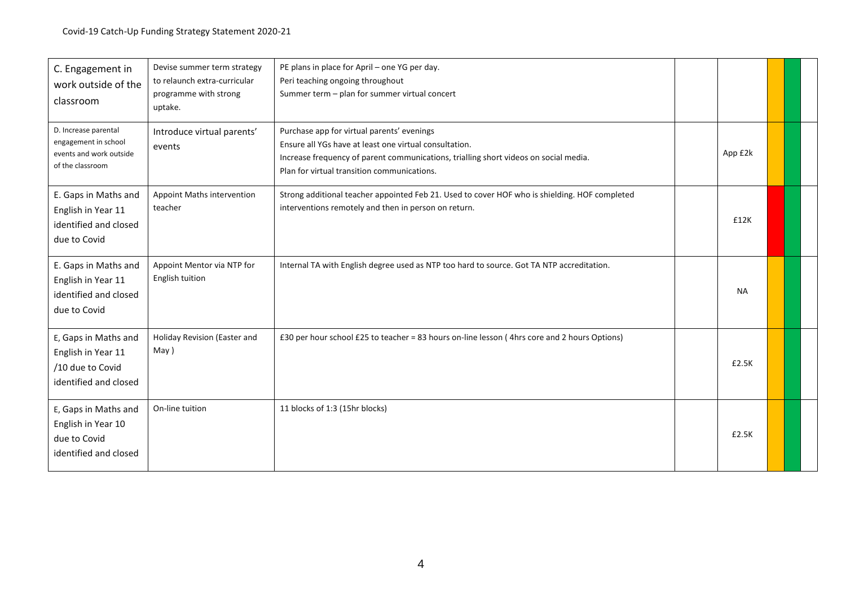| C. Engagement in<br>work outside of the<br>classroom                                        | Devise summer term strategy<br>to relaunch extra-curricular<br>programme with strong<br>uptake. | PE plans in place for April - one YG per day.<br>Peri teaching ongoing throughout<br>Summer term - plan for summer virtual concert                                                                                                          |           |  |
|---------------------------------------------------------------------------------------------|-------------------------------------------------------------------------------------------------|---------------------------------------------------------------------------------------------------------------------------------------------------------------------------------------------------------------------------------------------|-----------|--|
| D. Increase parental<br>engagement in school<br>events and work outside<br>of the classroom | Introduce virtual parents'<br>events                                                            | Purchase app for virtual parents' evenings<br>Ensure all YGs have at least one virtual consultation.<br>Increase frequency of parent communications, trialling short videos on social media.<br>Plan for virtual transition communications. | App £2k   |  |
| E. Gaps in Maths and<br>English in Year 11<br>identified and closed<br>due to Covid         | Appoint Maths intervention<br>teacher                                                           | Strong additional teacher appointed Feb 21. Used to cover HOF who is shielding. HOF completed<br>interventions remotely and then in person on return.                                                                                       | £12K      |  |
| E. Gaps in Maths and<br>English in Year 11<br>identified and closed<br>due to Covid         | Appoint Mentor via NTP for<br>English tuition                                                   | Internal TA with English degree used as NTP too hard to source. Got TA NTP accreditation.                                                                                                                                                   | <b>NA</b> |  |
| E, Gaps in Maths and<br>English in Year 11<br>/10 due to Covid<br>identified and closed     | Holiday Revision (Easter and<br>May)                                                            | £30 per hour school £25 to teacher = 83 hours on-line lesson (4hrs core and 2 hours Options)                                                                                                                                                | £2.5K     |  |
| E, Gaps in Maths and<br>English in Year 10<br>due to Covid<br>identified and closed         | On-line tuition                                                                                 | 11 blocks of 1:3 (15hr blocks)                                                                                                                                                                                                              | £2.5K     |  |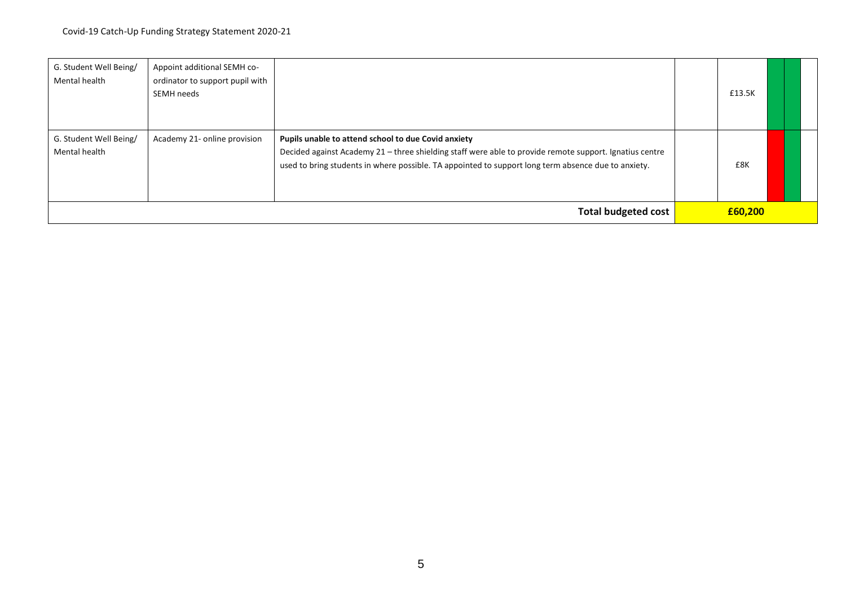| G. Student Well Being/<br>Mental health | Appoint additional SEMH co-<br>ordinator to support pupil with<br>SEMH needs |                                                                                                                                                                                                                                                                       | £13.5K  |  |
|-----------------------------------------|------------------------------------------------------------------------------|-----------------------------------------------------------------------------------------------------------------------------------------------------------------------------------------------------------------------------------------------------------------------|---------|--|
| G. Student Well Being/<br>Mental health | Academy 21- online provision                                                 | Pupils unable to attend school to due Covid anxiety<br>Decided against Academy 21 - three shielding staff were able to provide remote support. Ignatius centre<br>used to bring students in where possible. TA appointed to support long term absence due to anxiety. | £8K     |  |
| <b>Total budgeted cost</b>              |                                                                              |                                                                                                                                                                                                                                                                       | £60,200 |  |